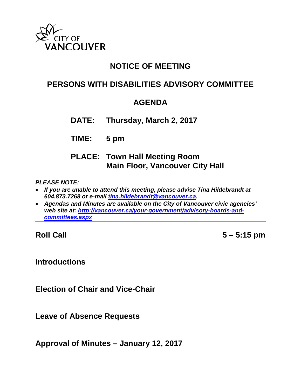

## **NOTICE OF MEETING**

# **PERSONS WITH DISABILITIES ADVISORY COMMITTEE**

## **AGENDA**

**DATE: Thursday, March 2, 2017**

**TIME: 5 pm**

## **PLACE: Town Hall Meeting Room Main Floor, Vancouver City Hall**

### *PLEASE NOTE:*

- *If you are unable to attend this meeting, please advise Tina Hildebrandt at 604.873.7268 or e-mail [tina.hildebrandt@vancouver.ca.](mailto:tina.hildebrandt@vancouver.ca)*
- *Agendas and Minutes are available on the City of Vancouver civic agencies' web site at: [http://vancouver.ca/your-government/advisory-boards-and](http://vancouver.ca/your-government/advisory-boards-and-committees.aspx)[committees.aspx](http://vancouver.ca/your-government/advisory-boards-and-committees.aspx)*

**Roll Call 5 – 5:15 pm**

## **Introductions**

**Election of Chair and Vice-Chair**

**Leave of Absence Requests**

**Approval of Minutes – January 12, 2017**